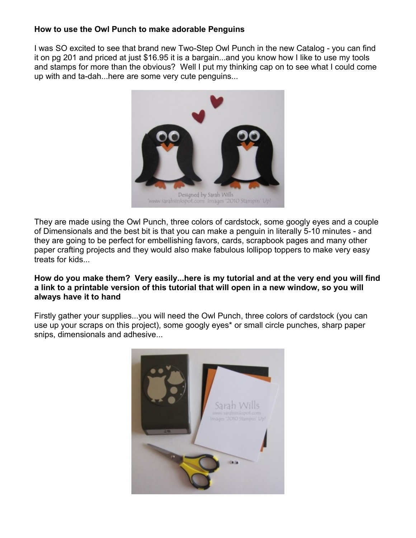## **How to use the Owl Punch to make adorable Penguins**

I was SO excited to see that brand new Two-Step Owl Punch in the new Catalog - you can find it on pg 201 and priced at just \$16.95 it is a bargain...and you know how I like to use my tools and stamps for more than the obvious? Well I put my thinking cap on to see what I could come up with and ta-dah...here are some very cute penguins...



They are made using the Owl Punch, three colors of cardstock, some googly eyes and a couple of Dimensionals and the best bit is that you can make a penguin in literally 5-10 minutes - and they are going to be perfect for embellishing favors, cards, scrapbook pages and many other paper crafting projects and they would also make fabulous lollipop toppers to make very easy treats for kids...

## **How do you make them? Very easily...here is my tutorial and at the very end you will find a link to a printable version of this tutorial that will open in a new window, so you will always have it to hand**

Firstly gather your supplies...you will need the Owl Punch, three colors of cardstock (you can use up your scraps on this project), some googly eyes\* or small circle punches, sharp paper snips, dimensionals and adhesive...

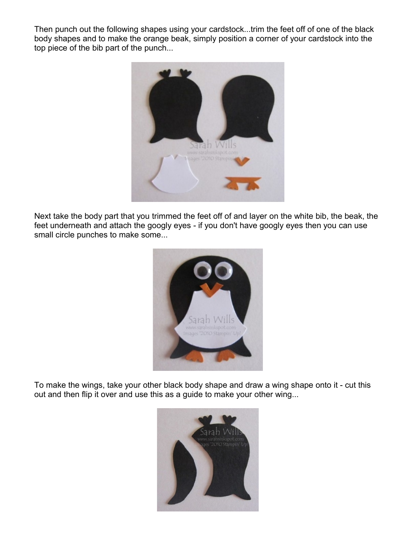Then punch out the following shapes using your cardstock...trim the feet off of one of the black body shapes and to make the orange beak, simply position a corner of your cardstock into the top piece of the bib part of the punch...



Next take the body part that you trimmed the feet off of and layer on the white bib, the beak, the feet underneath and attach the googly eyes - if you don't have googly eyes then you can use small circle punches to make some...



To make the wings, take your other black body shape and draw a wing shape onto it - cut this out and then flip it over and use this as a guide to make your other wing...